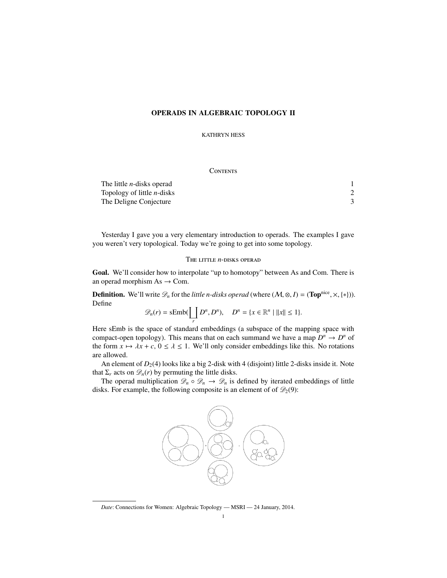# OPERADS IN ALGEBRAIC TOPOLOGY II

KATHRYN HESS

### **CONTENTS**

| The little <i>n</i> -disks operad |  |
|-----------------------------------|--|
| Topology of little $n$ -disks     |  |
| The Deligne Conjecture            |  |

Yesterday I gave you a very elementary introduction to operads. The examples I gave you weren't very topological. Today we're going to get into some topology.

## The little *n*-disks operad

Goal. We'll consider how to interpolate "up to homotopy" between As and Com. There is an operad morphism  $As \rightarrow Com$ .

**Definition.** We'll write  $\mathcal{D}_n$  for the *little n-disks operad* (where  $(\mathcal{M}, \otimes, I) = (\text{Top}^{\text{nice}}, \times, \{*\})$ ). Define

$$
\mathscr{D}_n(r)=\mathrm{sEmb}(\coprod_r D^n, D^n), \quad D^n=\{x\in\mathbb{R}^n\mid ||x||\leq 1\}.
$$

Here sEmb is the space of standard embeddings (a subspace of the mapping space with compact-open topology). This means that on each summand we have a map  $D^n \to D^n$  of the form  $x \mapsto \lambda x + c$ ,  $0 \le \lambda \le 1$ . We'll only consider embeddings like this. No rotations are allowed.

An element of  $D_2(4)$  looks like a big 2-disk with 4 (disjoint) little 2-disks inside it. Note that  $\Sigma_r$  acts on  $\mathscr{D}_n(r)$  by permuting the little disks.

The operad multiplication  $\mathscr{D}_n \circ \mathscr{D}_n \to \mathscr{D}_n$  is defined by iterated embeddings of little disks. For example, the following composite is an element of of  $\mathcal{D}_2(9)$ :



*Date*: Connections for Women: Algebraic Topology — MSRI — 24 January, 2014.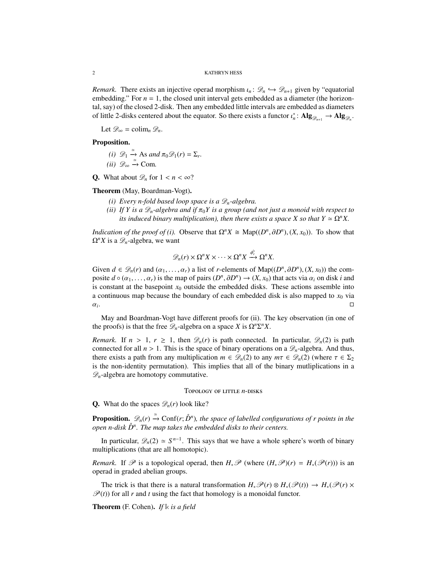2 KATHRYN HESS

*Remark.* There exists an injective operad morphism  $\iota_n : \mathcal{D}_n \hookrightarrow \mathcal{D}_{n+1}$  given by "equatorial embedding." For  $n = 1$ , the closed unit interval gets embedded as a diameter (the horizontal, say) of the closed 2-disk. Then any embedded little intervals are embedded as diameters of little 2-disks centered about the equator. So there exists a functor  $\iota_n^*$ :  $\mathbf{Alg}_{\mathcal{D}_{n+1}} \to \mathbf{Alg}_{\mathcal{D}_n}$ .

Let  $\mathscr{D}_{\infty} = \operatorname{colim}_{n} \mathscr{D}_{n}$ .

Proposition.

 $(i)$   $\mathscr{D}_1 \xrightarrow{\simeq} \text{As}$  *and*  $\pi_0 \mathscr{D}_1(r) = \Sigma_r$ .  $(ii)$   $\mathscr{D}_{\infty} \stackrel{\simeq}{\rightarrow}$  Com.

**Q.** What about  $\mathcal{D}_n$  for  $1 \leq n \leq \infty$ ?

Theorem (May, Boardman-Vogt).

- *(i) Every n-fold based loop space is a Dn-algebra.*
- *(ii)* If Y is a  $\mathscr{D}_n$ -algebra and if  $\pi_0 Y$  is a group (and not just a monoid with respect to *its induced binary multiplication), then there exists a space X so that*  $Y \simeq \Omega^n X$ .

*Indication of the proof of (i).* Observe that  $\Omega^n X \cong \text{Map}((D^n, \partial D^n), (X, x_0))$ . To show that  $\Omega^n X$  is a  $\mathscr{D}_n$ -algebra, we want

$$
\mathscr{D}_n(r)\times \Omega^n X\times\cdots\times \Omega^n X\stackrel{\phi_r^\flat}{\longrightarrow}\Omega^n X.
$$

Given  $d \in \mathcal{D}_n(r)$  and  $(\alpha_1, \ldots, \alpha_r)$  a list of *r*-elements of Map( $(D^n, \partial D^n)$ ,  $(X, x_0)$ ) the composite  $d \circ (a_1, \ldots, a_r)$  is the map of pairs  $(D^n, \partial D^n) \to (X, x_0)$  that acts via  $\alpha_i$  on disk *i* and is constant at the basepoint  $x_0$  outside the embedded disks. These actions assemble into a continuous map because the boundary of each embedded disk is also mapped to  $x<sub>0</sub>$  via  $\alpha_i$ .

May and Boardman-Vogt have different proofs for (ii). The key observation (in one of the proofs) is that the free  $\mathscr{D}_n$ -algebra on a space *X* is  $\Omega^n \Sigma^n X$ .

*Remark.* If  $n > 1$ ,  $r \ge 1$ , then  $\mathcal{D}_n(r)$  is path connected. In particular,  $\mathcal{D}_n(2)$  is path connected for all  $n > 1$ . This is the space of binary operations on a  $\mathcal{D}_n$ -algebra. And thus, there exists a path from any multiplication  $m \in \mathcal{D}_n(2)$  to any  $m\tau \in \mathcal{D}_n(2)$  (where  $\tau \in \Sigma_2$ ) is the non-identity permutation). This implies that all of the binary mutliplications in a  $\mathscr{D}_n$ -algebra are homotopy commutative.

### Topology of little *n*-disks

**Q.** What do the spaces  $\mathcal{D}_n(r)$  look like?

**Proposition.**  $\mathscr{D}_n(r) \xrightarrow{\simeq} \text{Conf}(r; \mathring{D}^n)$ , the space of labelled configurations of r points in the *open n-disk D*˚ *n. The map takes the embedded disks to their centers.*

In particular,  $\mathscr{D}_n(2) \simeq S^{n-1}$ . This says that we have a whole sphere's worth of binary multiplications (that are all homotopic).

*Remark.* If  $\mathcal{P}$  is a topological operad, then  $H_*\mathcal{P}$  (where  $(H_*\mathcal{P})(r) = H_*(\mathcal{P}(r))$ ) is an operad in graded abelian groups.

The trick is that there is a natural transformation  $H_*\mathscr{P}(r) \otimes H_*(\mathscr{P}(t)) \to H_*(\mathscr{P}(r) \times$  $P(t)$  for all *r* and *t* using the fact that homology is a monoidal functor.

Theorem (F. Cohen). *If* **k** *is a field*